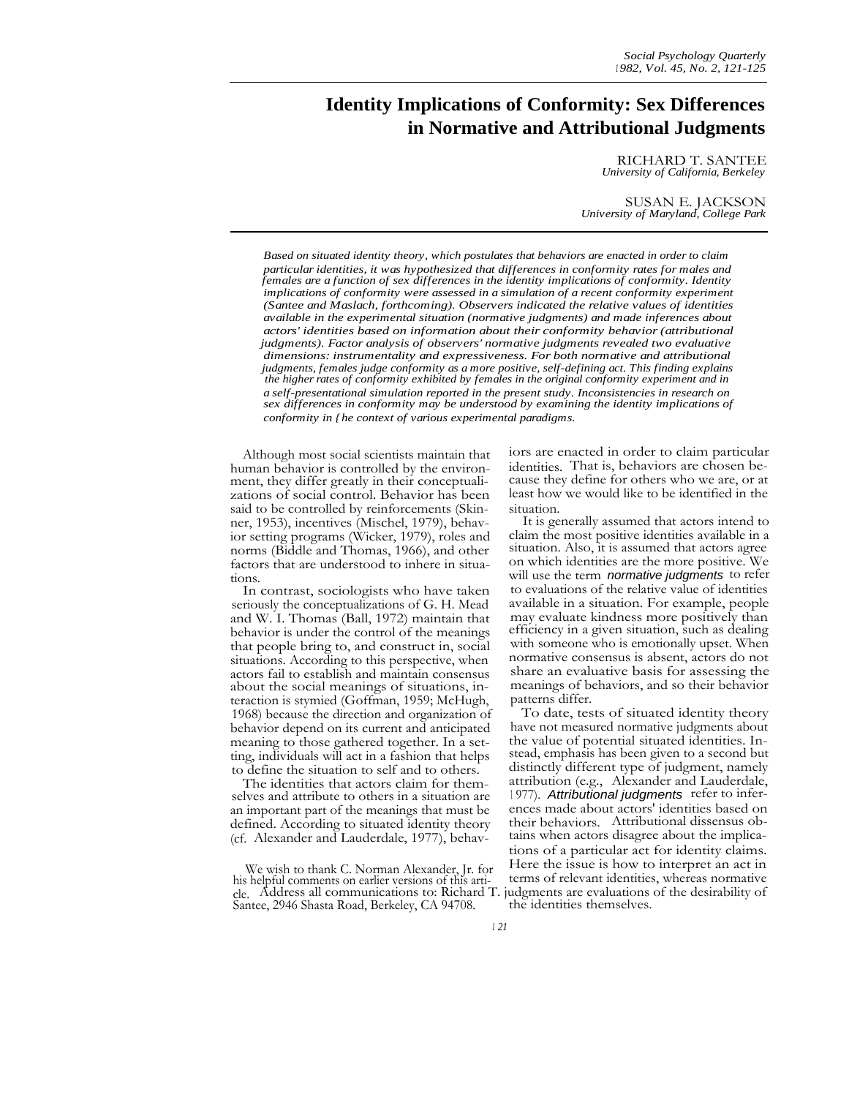# **Identity Implications of Conformity: Sex Differences in Normative and Attributional Judgments**

RICHARD T. SANTEE *University of California, Berkeley*

SUSAN E. JACKSON *University of Maryland, College Park*

*Based on situated identity theory, which postulates that behaviors are enacted in order to claim particular identities, it was hypothesized that differences in conformity rates for males and females are a function of sex differences in the identity implications of conformity. Identity implications of conformity were assessed in a simulation of a recent conformity experiment (Santee and Maslach, forthcoming). Observers indicated the relative values of identities available in the experimental situation (normative judgments) and made inferences about actors' identities based on information about their conformity behavior (attributional judgments). Factor analysis of observers' normative judgments revealed two evaluative dimensions: instrumentality and expressiveness. For both normative and attributional judgments, females judge conformity as a more positive, self-defining act. This finding explains the higher rates of conformity exhibited by females in the original conformity experiment and in a self-presentational simulation reported in the present study. Inconsistencies in research on sex differences in conformity may be understood by examining the identity implications of conformity in {he context of various experimental paradigms.*

Although most social scientists maintain that human behavior is controlled by the environment, they differ greatly in their conceptualizations of social control. Behavior has been said to be controlled by reinforcements (Skinner, 1953), incentives (Mischel, 1979), behavior setting programs (Wicker, 1979), roles and norms (Biddle and Thomas, 1966), and other factors that are understood to inhere in situations.

In contrast, sociologists who have taken seriously the conceptualizations of G. H. Mead and W. I. Thomas (Ball, 1972) maintain that behavior is under the control of the meanings that people bring to, and construct in, social situations. According to this perspective, when actors fail to establish and maintain consensus about the social meanings of situations, interaction is stymied (Goffman, 1959; McHugh, 1968) because the direction and organization of behavior depend on its current and anticipated meaning to those gathered together. In a setting, individuals will act in a fashion that helps to define the situation to self and to others.

The identities that actors claim for themselves and attribute to others in a situation are an important part of the meanings that must be defined. According to situated identity theory (cf. Alexander and Lauderdale, 1977), behaviors are enacted in order to claim particular identities. That is, behaviors are chosen because they define for others who we are, or at least how we would like to be identified in the situation.

It is generally assumed that actors intend to claim the most positive identities available in a situation. Also, it is assumed that actors agree on which identities are the more positive. We will use the term *normative judgments* to refer to evaluations of the relative value of identities available in a situation. For example, people may evaluate kindness more positively than efficiency in a given situation, such as dealing with someone who is emotionally upset. When normative consensus is absent, actors do not share an evaluative basis for assessing the meanings of behaviors, and so their behavior patterns differ.

To date, tests of situated identity theory have not measured normative judgments about the value of potential situated identities. Instead, emphasis has been given to a second but distinctly different type of judgment, namely attribution (e.g., Alexander and Lauderdale, 1977). Attributional judgments refer to inferences made about actors' identities based on their behaviors. Attributional dissensus obtains when actors disagree about the implications of a particular act for identity claims. terms of relevant identities, whereas normative judgments are evaluations of the desirability of the identities themselves.

We wish to thank C. Norman Alexander, Jr. for his helpful comments on earlier versions of this article. Address all communications to: Richard T. Santee, 2946 Shasta Road, Berkeley, CA 94708.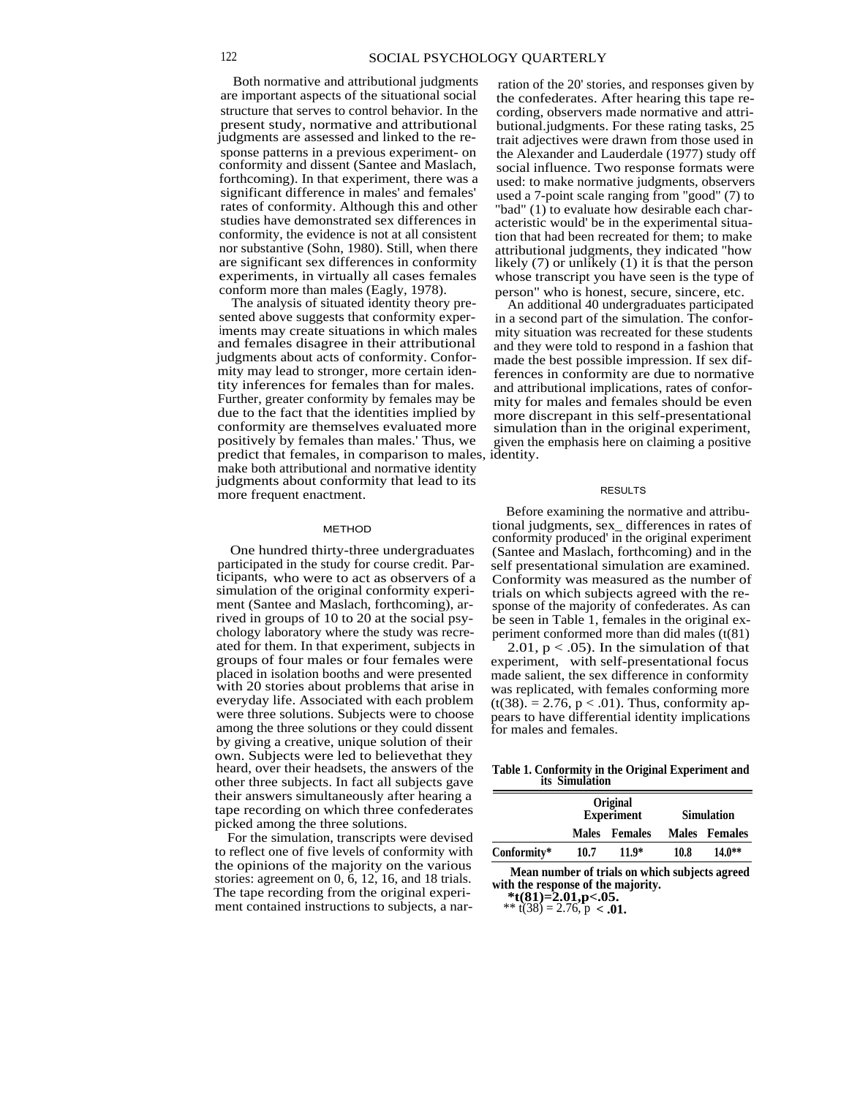Both normative and attributional judgments ration of the 20' stories, and responses given by are important aspects of the situational social the confederates. After hearing this tape rejudgments are assessed and linked to the re-<br>sponse patterns in a previous experiment- on

The analysis of situated identity theory pre-<br>sented above suggests that conformity exper-<br>in a second part of the simulation. The conforiments may create situations in which males mity situation was recreated for these students and females disagree in their attributional and they were told to respond in a fashion that and females disagree in their attributional and they were told to respond in a fashion that judgments about acts of conformity. Conforjudgments about acts of conformity. Confor- made the best possible impression. If sex diftity inferences for females than for males.<br>Further, greater conformity by females may be Further, greater conformity by females may be mity for males and females should be even<br>due to the fact that the identities implied by more discrepant in this self-presentational due to the fact that the identities implied by more discrepant in this self-presentational conformity are themselves evaluated more simulation than in the original experiment. conformity are themselves evaluated more simulation than in the original experiment, positively by females than males. Thus, we given the emphasis here on claiming a positive predict that females, in comparison to males, identity. make both attributional and normative identity judgments about conformity that lead to its more frequent enactment.

## **METHOD**

One hundred thirty-three undergraduates participated in the study for course credit. Participants, who were to act as observers of a simulation of the original conformity experiment (Santee and Maslach, forthcoming), arrived in groups of 10 to 20 at the social psychology laboratory where the study was recreated for them. In that experiment, subjects in groups of four males or four females were placed in isolation booths and were presented with 20 stories about problems that arise in everyday life. Associated with each problem were three solutions. Subjects were to choose among the three solutions or they could dissent by giving a creative, unique solution of their own. Subjects were led to believethat they heard, over their headsets, the answers of the other three subjects. In fact all subjects gave their answers simultaneously after hearing a tape recording on which three confederates picked among the three solutions.

For the simulation, transcripts were devised to reflect one of five levels of conformity with the opinions of the majority on the various stories: agreement on 0, 6, 12, 16, and 18 trials. The tape recording from the original experiment contained instructions to subjects, a nar-

the confederates. After hearing this tape restructure that serves to control behavior. In the cording, observers made normative and attri-<br>present study, normative and attributional butional.judgments. For these rating tasks, 25 present study, normative and attributional butional.judgments. For these rating tasks, 25 judgments are assessed and linked to the re-<br>trait adjectives were drawn from those used in sponse patterns in a previous experiment- on the Alexander and Lauderdale (1977) study off conformity and dissent (Santee and Maslach, social influence. Two response formats were conformity and dissent (Santee and Maslach, social influence. Two response formats were<br>forthcoming). In that experiment, there was a speed: to make normative indements observers forthcoming). In that experiment, there was a used: to make normative judgments, observers significant difference in males' and females' used a 7-point scale ranging from "good" (7) to significant difference in males' and females' used a 7-point scale ranging from "good" (7) to rates of conformity. Although this and other "bad" (1) to evaluate how desirable each char-"bad"  $(1)$  to evaluate how desirable each charstudies have demonstrated sex differences in acteristic would' be in the experimental situaconformity, the evidence is not at all consistent tion that had been recreated for them; to make<br>nor substantive (Sohn, 1980). Still, when there attributional judgments they indicated "how nor substantive (Sohn, 1980). Still, when there attributional judgments, they indicated "how<br>are significant sex differences in conformity likely (7) or unlikely (1) it is that the person likely  $(7)$  or unlikely  $(1)$  it is that the person experiments, in virtually all cases females whose transcript you have seen is the type of conform more than males (Eagly, 1978). nform more than males (Eagly, 1978). person" who is honest, secure, sincere, etc.<br>The analysis of situated identity theory pre-<br>An additional 40 undergraduates participate

in a second part of the simulation. The conforferences in conformity are due to normative<br>and attributional implications, rates of conforgiven the emphasis here on claiming a positive

## RESULTS

Before examining the normative and attributional judgments, sex\_ differences in rates of conformity produced' in the original experiment (Santee and Maslach, forthcoming) and in the self presentational simulation are examined. Conformity was measured as the number of trials on which subjects agreed with the response of the majority of confederates. As can be seen in Table 1, females in the original experiment conformed more than did males (t(81)

2.01,  $p < .05$ ). In the simulation of that experiment, with self-presentational focus made salient, the sex difference in conformity was replicated, with females conforming more  $(t(38) = 2.76, p < .01)$ . Thus, conformity appears to have differential identity implications for males and females.

## **Table 1. Conformity in the Original Experiment and its Simulation**

|             | Original<br><b>Experiment</b> |               | <b>Simulation</b> |               |
|-------------|-------------------------------|---------------|-------------------|---------------|
|             |                               | Males Females |                   | Males Females |
| Conformity* | 10.7                          | $11.9*$       | 10.8              | $14.0**$      |

**Mean number of trials on which subjects agreed with the response of the majority.**

**\*t(81)=2.01,p<.05.**

\*\* t(38) = 2.76,  $p < .01$ .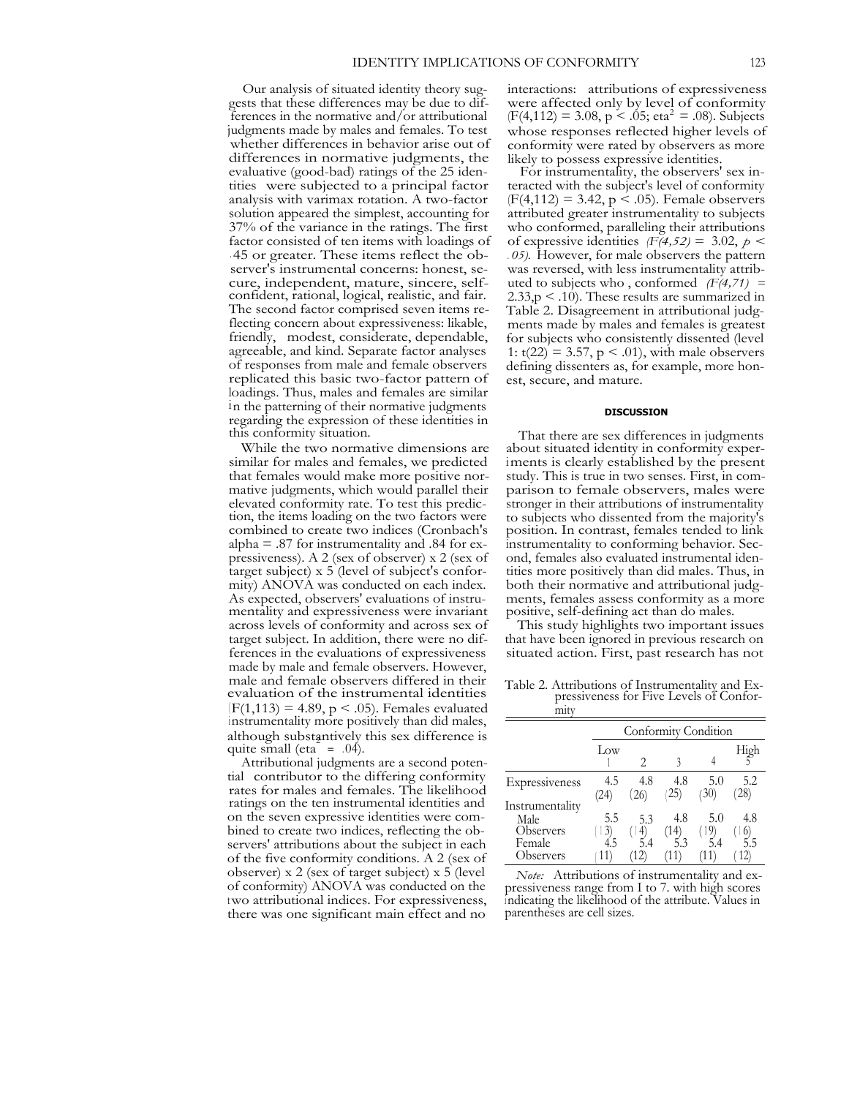Our analysis of situated identity theory suggests that these differences may be due to differences in the normative and/or attributional judgments made by males and females. To test whether differences in behavior arise out of differences in normative judgments, the evaluative (good-bad) ratings of the 25 identities were subjected to a principal factor analysis with varimax rotation. A two-factor solution appeared the simplest, accounting for 37% of the variance in the ratings. The first factor consisted of ten items with loadings of . 45 or greater. These items reflect the observer's instrumental concerns: honest, secure, independent, mature, sincere, selfconfident, rational, logical, realistic, and fair. The second factor comprised seven items reflecting concern about expressiveness: likable, friendly, modest, considerate, dependable, agreeable, and kind. Separate factor analyses of responses from male and female observers replicated this basic two-factor pattern of loadings. Thus, males and females are similar in the patterning of their normative judgments regarding the expression of these identities in this conformity situation.

While the two normative dimensions are similar for males and females, we predicted that females would make more positive normative judgments, which would parallel their elevated conformity rate. To test this prediction, the items loading on the two factors were combined to create two indices (Cronbach's alpha  $=$  .87 for instrumentality and .84 for expressiveness). A 2 (sex of observer) x 2 (sex of target subject) x 5 (level of subject's conformity) ANOVA was conducted on each index. As expected, observers' evaluations of instrumentality and expressiveness were invariant across levels of conformity and across sex of target subject. In addition, there were no differences in the evaluations of expressiveness made by male and female observers. However, male and female observers differed in their evaluation of the instrumental identities  $(F(1, 113) = 4.89, p < .05)$ . Females evaluated instrumentality more positively than did males, although substantively this sex difference is quite small (eta<sup> $2$ </sup> = .04).

Attributional judgments are a second potential contributor to the differing conformity rates for males and females. The likelihood ratings on the ten instrumental identities and on the seven expressive identities were combined to create two indices, reflecting the observers' attributions about the subject in each of the five conformity conditions. A 2 (sex of observer) x 2 (sex of target subject) x 5 (level of conformity) ANOVA was conducted on the two attributional indices. For expressiveness, there was one significant main effect and no interactions: attributions of expressiveness were affected only by level of conformity  $(F(4, 112) = 3.08, p < .05; \text{eta}^2 = .08)$ . Subjects whose responses reflected higher levels of conformity were rated by observers as more likely to possess expressive identities.

For instrumentality, the observers' sex interacted with the subject's level of conformity  $(F(4, 112) = 3.42, p \le .05)$ . Female observers attributed greater instrumentality to subjects who conformed, paralleling their attributions of expressive identities  $(F(4,52) = 3.02, p <$ *. 05).* However, for male observers the pattern was reversed, with less instrumentality attributed to subjects who , conformed *(F(4,71) =*  $2.33$ ,  $p < .10$ ). These results are summarized in Table 2. Disagreement in attributional judgments made by males and females is greatest for subjects who consistently dissented (level 1:  $t(22) = 3.57$ ,  $p < .01$ ), with male observers defining dissenters as, for example, more honest, secure, and mature.

## **DISCUSSION**

That there are sex differences in judgments about situated identity in conformity experiments is clearly established by the present study. This is true in two senses. First, in comparison to female observers, males were stronger in their attributions of instrumentality to subjects who dissented from the majority's position. In contrast, females tended to link instrumentality to conforming behavior. Second, females also evaluated instrumental identities more positively than did males. Thus, in both their normative and attributional judgments, females assess conformity as a more positive, self-defining act than do males.

This study highlights two important issues that have been ignored in previous research on situated action. First, past research has not

Table 2. Attributions of Instrumentality and Expressiveness for Five Levels of Conformity

|                                                | Conformity Condition |                 |            |                   |                  |  |  |
|------------------------------------------------|----------------------|-----------------|------------|-------------------|------------------|--|--|
|                                                | Low                  |                 |            |                   | High             |  |  |
| Expressiveness                                 | 4.5<br>(24)          | 4.8<br>(26)     | 4.8<br>25) | 5.0<br>(30)       | 5.2<br>$^{(28)}$ |  |  |
| Instrumentality<br>Male<br>Observers<br>Female | 5.5<br>3)<br>4.5     | 5.3<br>4<br>5.4 | 4.8<br>(14 | 5.0<br>(19<br>5.4 | 4.8              |  |  |
| Observers                                      | 11)                  | 12              | (11        |                   | $\vert 2\rangle$ |  |  |

*Note:* Attributions of instrumentality and expressiveness range from I to 7. with high scores <sup>i</sup> ndicating the likelihood of the attribute. Values in parentheses are cell sizes.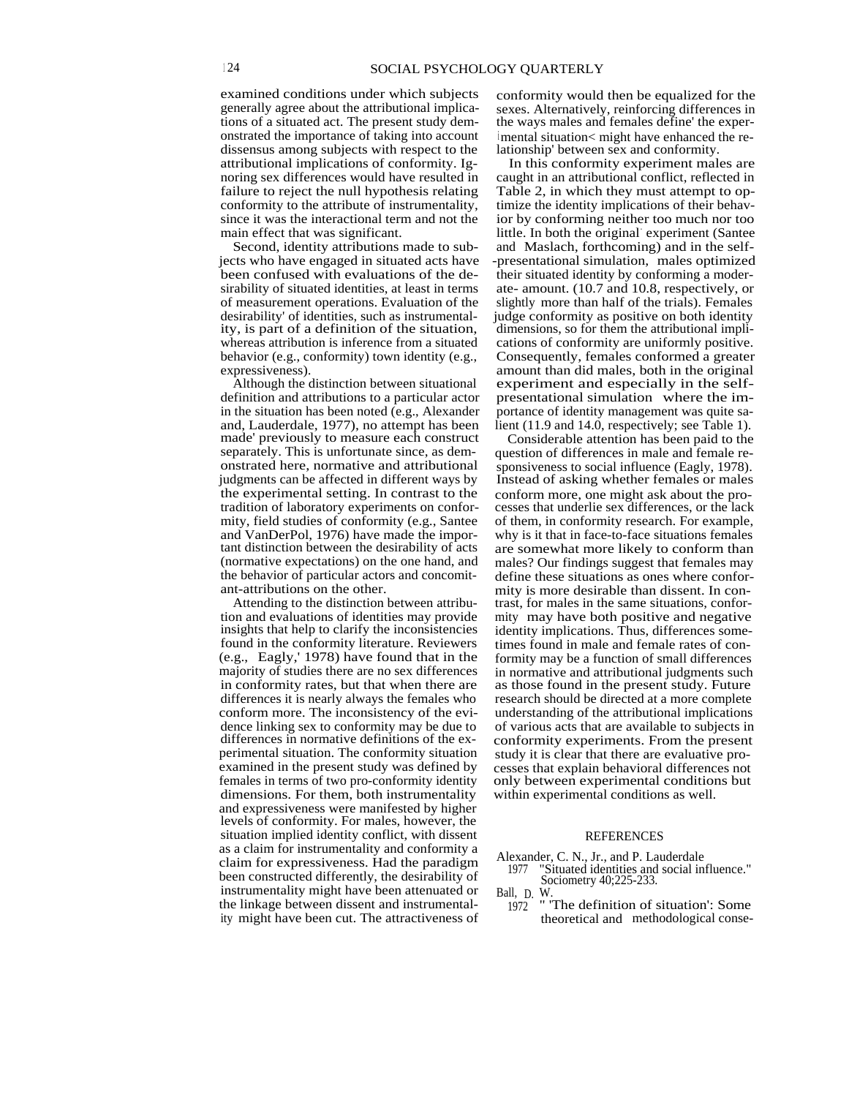examined conditions under which subjects generally agree about the attributional implications of a situated act. The present study demonstrated the importance of taking into account dissensus among subjects with respect to the attributional implications of conformity. Ignoring sex differences would have resulted in failure to reject the null hypothesis relating conformity to the attribute of instrumentality, since it was the interactional term and not the main effect that was significant.

Second, identity attributions made to subjects who have engaged in situated acts have been confused with evaluations of the desirability of situated identities, at least in terms of measurement operations. Evaluation of the desirability' of identities, such as instrumentality, is part of a definition of the situation, whereas attribution is inference from a situated behavior (e.g., conformity) town identity (e.g., expressiveness).

Although the distinction between situational definition and attributions to a particular actor in the situation has been noted (e.g., Alexander and, Lauderdale, 1977), no attempt has been made' previously to measure each construct separately. This is unfortunate since, as demonstrated here, normative and attributional judgments can be affected in different ways by the experimental setting. In contrast to the tradition of laboratory experiments on conformity, field studies of conformity (e.g., Santee and VanDerPol, 1976) have made the important distinction between the desirability of acts (normative expectations) on the one hand, and the behavior of particular actors and concomitant-attributions on the other.

Attending to the distinction between attribution and evaluations of identities may provide insights that help to clarify the inconsistencies found in the conformity literature. Reviewers (e.g., Eagly,' 1978) have found that in the majority of studies there are no sex differences in conformity rates, but that when there are differences it is nearly always the females who conform more. The inconsistency of the evidence linking sex to conformity may be due to differences in normative definitions of the experimental situation. The conformity situation examined in the present study was defined by females in terms of two pro-conformity identity dimensions. For them, both instrumentality and expressiveness were manifested by higher levels of conformity. For males, however, the situation implied identity conflict, with dissent as a claim for instrumentality and conformity a claim for expressiveness. Had the paradigm been constructed differently, the desirability of instrumentality might have been attenuated or the linkage between dissent and instrumentality might have been cut. The attractiveness of conformity would then be equalized for the sexes. Alternatively, reinforcing differences in the ways males and females define' the experimental situation< might have enhanced the relationship' between sex and conformity.

In this conformity experiment males are caught in an attributional conflict, reflected in Table 2, in which they must attempt to optimize the identity implications of their behavior by conforming neither too much nor too little. In both the original- experiment (Santee and Maslach, forthcoming) and in the self- -presentational simulation, males optimized their situated identity by conforming a moderate- amount. (10.7 and 10.8, respectively, or slightly more than half of the trials). Females judge conformity as positive on both identity dimensions, so for them the attributional implications of conformity are uniformly positive. Consequently, females conformed a greater amount than did males, both in the original experiment and especially in the selfpresentational simulation where the importance of identity management was quite salient (11.9 and 14.0, respectively; see Table 1).

Considerable attention has been paid to the question of differences in male and female responsiveness to social influence (Eagly, 1978). Instead of asking whether females or males conform more, one might ask about the processes that underlie sex differences, or the lack of them, in conformity research. For example, why is it that in face-to-face situations females are somewhat more likely to conform than males? Our findings suggest that females may define these situations as ones where conformity is more desirable than dissent. In contrast, for males in the same situations, conformity may have both positive and negative identity implications. Thus, differences sometimes found in male and female rates of conformity may be a function of small differences in normative and attributional judgments such as those found in the present study. Future research should be directed at a more complete understanding of the attributional implications of various acts that are available to subjects in conformity experiments. From the present study it is clear that there are evaluative processes that explain behavioral differences not only between experimental conditions but within experimental conditions as well.

#### **REFERENCES**

- Alexander, C. N., Jr., and P. Lauderdale<br>1977 "Situated identities and social in
	- "Situated identities and social influence." Sociometry 40;225-233.

Ball, D. W.<br>1972

" 'The definition of situation': Some theoretical and methodological conse-